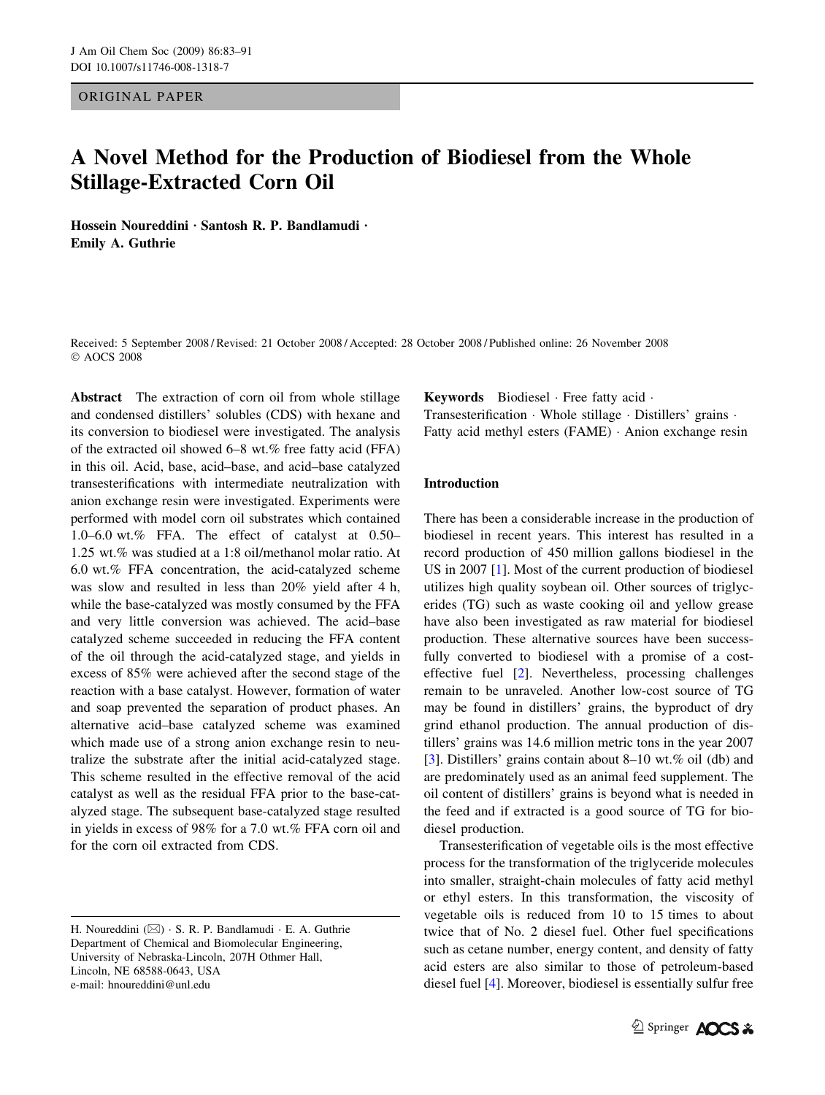## ORIGINAL PAPER

# A Novel Method for the Production of Biodiesel from the Whole Stillage-Extracted Corn Oil

Hossein Noureddini · Santosh R. P. Bandlamudi · Emily A. Guthrie

Received: 5 September 2008 / Revised: 21 October 2008 / Accepted: 28 October 2008 / Published online: 26 November 2008 AOCS 2008

Abstract The extraction of corn oil from whole stillage and condensed distillers' solubles (CDS) with hexane and its conversion to biodiesel were investigated. The analysis of the extracted oil showed 6–8 wt.% free fatty acid (FFA) in this oil. Acid, base, acid–base, and acid–base catalyzed transesterifications with intermediate neutralization with anion exchange resin were investigated. Experiments were performed with model corn oil substrates which contained 1.0–6.0 wt.% FFA. The effect of catalyst at 0.50– 1.25 wt.% was studied at a 1:8 oil/methanol molar ratio. At 6.0 wt.% FFA concentration, the acid-catalyzed scheme was slow and resulted in less than 20% yield after 4 h, while the base-catalyzed was mostly consumed by the FFA and very little conversion was achieved. The acid–base catalyzed scheme succeeded in reducing the FFA content of the oil through the acid-catalyzed stage, and yields in excess of 85% were achieved after the second stage of the reaction with a base catalyst. However, formation of water and soap prevented the separation of product phases. An alternative acid–base catalyzed scheme was examined which made use of a strong anion exchange resin to neutralize the substrate after the initial acid-catalyzed stage. This scheme resulted in the effective removal of the acid catalyst as well as the residual FFA prior to the base-catalyzed stage. The subsequent base-catalyzed stage resulted in yields in excess of 98% for a 7.0 wt.% FFA corn oil and for the corn oil extracted from CDS.

Keywords Biodiesel Free fatty acid . Transesterification · Whole stillage · Distillers' grains · Fatty acid methyl esters  $(FAME) \cdot$  Anion exchange resin

# Introduction

There has been a considerable increase in the production of biodiesel in recent years. This interest has resulted in a record production of 450 million gallons biodiesel in the US in 2007 [[1\]](#page-7-0). Most of the current production of biodiesel utilizes high quality soybean oil. Other sources of triglycerides (TG) such as waste cooking oil and yellow grease have also been investigated as raw material for biodiesel production. These alternative sources have been successfully converted to biodiesel with a promise of a costeffective fuel [[2\]](#page-7-0). Nevertheless, processing challenges remain to be unraveled. Another low-cost source of TG may be found in distillers' grains, the byproduct of dry grind ethanol production. The annual production of distillers' grains was 14.6 million metric tons in the year 2007 [\[3](#page-7-0)]. Distillers' grains contain about 8–10 wt.% oil (db) and are predominately used as an animal feed supplement. The oil content of distillers' grains is beyond what is needed in the feed and if extracted is a good source of TG for biodiesel production.

Transesterification of vegetable oils is the most effective process for the transformation of the triglyceride molecules into smaller, straight-chain molecules of fatty acid methyl or ethyl esters. In this transformation, the viscosity of vegetable oils is reduced from 10 to 15 times to about twice that of No. 2 diesel fuel. Other fuel specifications such as cetane number, energy content, and density of fatty acid esters are also similar to those of petroleum-based diesel fuel [\[4](#page-7-0)]. Moreover, biodiesel is essentially sulfur free

H. Noureddini  $(\boxtimes) \cdot$  S. R. P. Bandlamudi  $\cdot$  E. A. Guthrie Department of Chemical and Biomolecular Engineering, University of Nebraska-Lincoln, 207H Othmer Hall, Lincoln, NE 68588-0643, USA e-mail: hnoureddini@unl.edu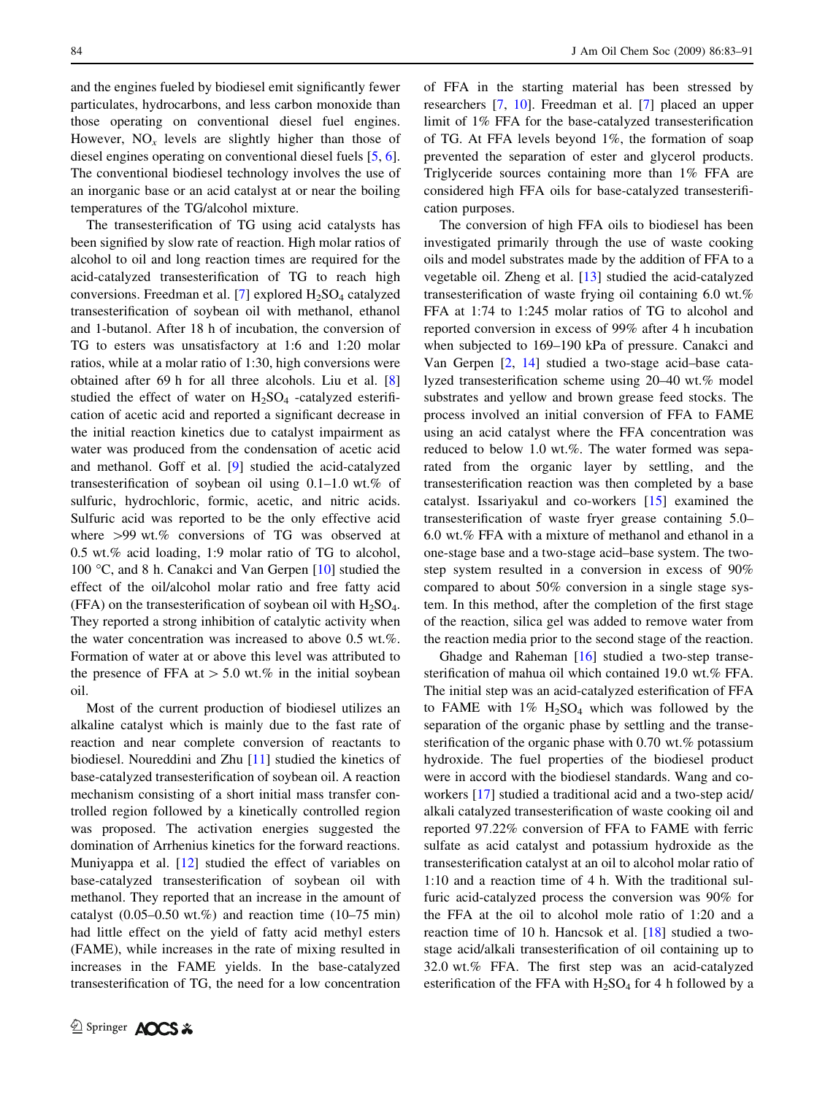and the engines fueled by biodiesel emit significantly fewer particulates, hydrocarbons, and less carbon monoxide than those operating on conventional diesel fuel engines. However,  $NO<sub>x</sub>$  levels are slightly higher than those of diesel engines operating on conventional diesel fuels [\[5](#page-8-0), [6](#page-8-0)]. The conventional biodiesel technology involves the use of an inorganic base or an acid catalyst at or near the boiling temperatures of the TG/alcohol mixture.

The transesterification of TG using acid catalysts has been signified by slow rate of reaction. High molar ratios of alcohol to oil and long reaction times are required for the acid-catalyzed transesterification of TG to reach high conversions. Freedman et al. [\[7](#page-8-0)] explored  $H_2SO_4$  catalyzed transesterification of soybean oil with methanol, ethanol and 1-butanol. After 18 h of incubation, the conversion of TG to esters was unsatisfactory at 1:6 and 1:20 molar ratios, while at a molar ratio of 1:30, high conversions were obtained after 69 h for all three alcohols. Liu et al. [[8\]](#page-8-0) studied the effect of water on  $H_2SO_4$  -catalyzed esterification of acetic acid and reported a significant decrease in the initial reaction kinetics due to catalyst impairment as water was produced from the condensation of acetic acid and methanol. Goff et al. [[9\]](#page-8-0) studied the acid-catalyzed transesterification of soybean oil using 0.1–1.0 wt.% of sulfuric, hydrochloric, formic, acetic, and nitric acids. Sulfuric acid was reported to be the only effective acid where  $>99$  wt.% conversions of TG was observed at 0.5 wt.% acid loading, 1:9 molar ratio of TG to alcohol, 100 °C, and 8 h. Canakci and Van Gerpen [\[10](#page-8-0)] studied the effect of the oil/alcohol molar ratio and free fatty acid (FFA) on the transesterification of soybean oil with  $H_2SO_4$ . They reported a strong inhibition of catalytic activity when the water concentration was increased to above 0.5 wt.%. Formation of water at or above this level was attributed to the presence of FFA at  $> 5.0$  wt.% in the initial soybean oil.

Most of the current production of biodiesel utilizes an alkaline catalyst which is mainly due to the fast rate of reaction and near complete conversion of reactants to biodiesel. Noureddini and Zhu [\[11](#page-8-0)] studied the kinetics of base-catalyzed transesterification of soybean oil. A reaction mechanism consisting of a short initial mass transfer controlled region followed by a kinetically controlled region was proposed. The activation energies suggested the domination of Arrhenius kinetics for the forward reactions. Muniyappa et al. [\[12](#page-8-0)] studied the effect of variables on base-catalyzed transesterification of soybean oil with methanol. They reported that an increase in the amount of catalyst  $(0.05-0.50 \text{ wt.}\%)$  and reaction time  $(10-75 \text{ min})$ had little effect on the yield of fatty acid methyl esters (FAME), while increases in the rate of mixing resulted in increases in the FAME yields. In the base-catalyzed transesterification of TG, the need for a low concentration of FFA in the starting material has been stressed by researchers [[7,](#page-8-0) [10\]](#page-8-0). Freedman et al. [\[7](#page-8-0)] placed an upper limit of 1% FFA for the base-catalyzed transesterification of TG. At FFA levels beyond 1%, the formation of soap prevented the separation of ester and glycerol products. Triglyceride sources containing more than 1% FFA are considered high FFA oils for base-catalyzed transesterification purposes.

The conversion of high FFA oils to biodiesel has been investigated primarily through the use of waste cooking oils and model substrates made by the addition of FFA to a vegetable oil. Zheng et al. [\[13](#page-8-0)] studied the acid-catalyzed transesterification of waste frying oil containing 6.0 wt.% FFA at 1:74 to 1:245 molar ratios of TG to alcohol and reported conversion in excess of 99% after 4 h incubation when subjected to 169–190 kPa of pressure. Canakci and Van Gerpen [[2,](#page-7-0) [14\]](#page-8-0) studied a two-stage acid–base catalyzed transesterification scheme using 20–40 wt.% model substrates and yellow and brown grease feed stocks. The process involved an initial conversion of FFA to FAME using an acid catalyst where the FFA concentration was reduced to below 1.0 wt.%. The water formed was separated from the organic layer by settling, and the transesterification reaction was then completed by a base catalyst. Issariyakul and co-workers [\[15](#page-8-0)] examined the transesterification of waste fryer grease containing 5.0– 6.0 wt.% FFA with a mixture of methanol and ethanol in a one-stage base and a two-stage acid–base system. The twostep system resulted in a conversion in excess of 90% compared to about 50% conversion in a single stage system. In this method, after the completion of the first stage of the reaction, silica gel was added to remove water from the reaction media prior to the second stage of the reaction.

Ghadge and Raheman [[16\]](#page-8-0) studied a two-step transesterification of mahua oil which contained 19.0 wt.% FFA. The initial step was an acid-catalyzed esterification of FFA to FAME with  $1\%$  H<sub>2</sub>SO<sub>4</sub> which was followed by the separation of the organic phase by settling and the transesterification of the organic phase with 0.70 wt.% potassium hydroxide. The fuel properties of the biodiesel product were in accord with the biodiesel standards. Wang and coworkers [\[17](#page-8-0)] studied a traditional acid and a two-step acid/ alkali catalyzed transesterification of waste cooking oil and reported 97.22% conversion of FFA to FAME with ferric sulfate as acid catalyst and potassium hydroxide as the transesterification catalyst at an oil to alcohol molar ratio of 1:10 and a reaction time of 4 h. With the traditional sulfuric acid-catalyzed process the conversion was 90% for the FFA at the oil to alcohol mole ratio of 1:20 and a reaction time of 10 h. Hancsok et al. [[18\]](#page-8-0) studied a twostage acid/alkali transesterification of oil containing up to 32.0 wt.% FFA. The first step was an acid-catalyzed esterification of the FFA with  $H_2SO_4$  for 4 h followed by a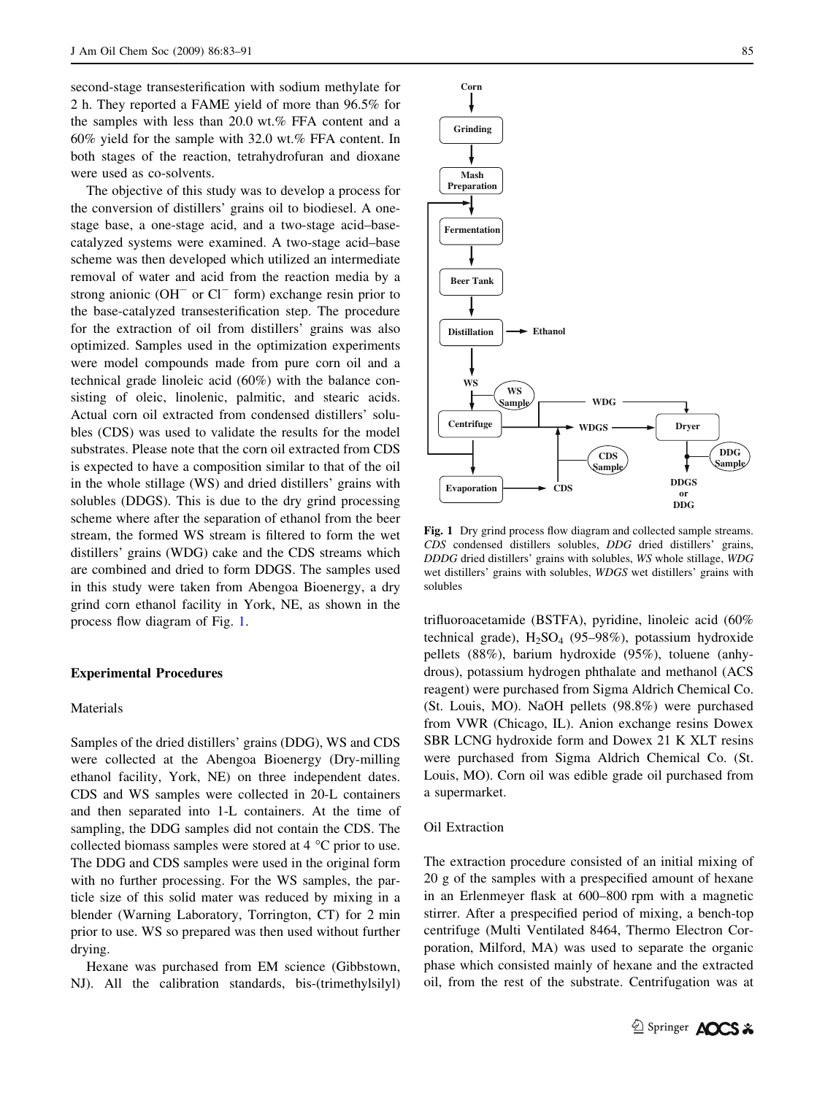second-stage transesterification with sodium methylate for 2 h. They reported a FAME yield of more than 96.5% for the samples with less than 20.0 wt.% FFA content and a 60% yield for the sample with 32.0 wt.% FFA content. In both stages of the reaction, tetrahydrofuran and dioxane were used as co-solvents.

The objective of this study was to develop a process for the conversion of distillers' grains oil to biodiesel. A onestage base, a one-stage acid, and a two-stage acid–basecatalyzed systems were examined. A two-stage acid–base scheme was then developed which utilized an intermediate removal of water and acid from the reaction media by a strong anionic  $(OH^-$  or  $Cl^-$  form) exchange resin prior to the base-catalyzed transesterification step. The procedure for the extraction of oil from distillers' grains was also optimized. Samples used in the optimization experiments were model compounds made from pure corn oil and a technical grade linoleic acid (60%) with the balance consisting of oleic, linolenic, palmitic, and stearic acids. Actual corn oil extracted from condensed distillers' solubles (CDS) was used to validate the results for the model substrates. Please note that the corn oil extracted from CDS is expected to have a composition similar to that of the oil in the whole stillage (WS) and dried distillers' grains with solubles (DDGS). This is due to the dry grind processing scheme where after the separation of ethanol from the beer stream, the formed WS stream is filtered to form the wet distillers' grains (WDG) cake and the CDS streams which are combined and dried to form DDGS. The samples used in this study were taken from Abengoa Bioenergy, a dry grind corn ethanol facility in York, NE, as shown in the process flow diagram of Fig. 1.

### Experimental Procedures

## Materials

Samples of the dried distillers' grains (DDG), WS and CDS were collected at the Abengoa Bioenergy (Dry-milling ethanol facility, York, NE) on three independent dates. CDS and WS samples were collected in 20-L containers and then separated into 1-L containers. At the time of sampling, the DDG samples did not contain the CDS. The collected biomass samples were stored at  $4^{\circ}$ C prior to use. The DDG and CDS samples were used in the original form with no further processing. For the WS samples, the particle size of this solid mater was reduced by mixing in a blender (Warning Laboratory, Torrington, CT) for 2 min prior to use. WS so prepared was then used without further drying.

Hexane was purchased from EM science (Gibbstown, NJ). All the calibration standards, bis-(trimethylsilyl)



Fig. 1 Dry grind process flow diagram and collected sample streams. CDS condensed distillers solubles, DDG dried distillers' grains, DDDG dried distillers' grains with solubles, WS whole stillage, WDG wet distillers' grains with solubles, WDGS wet distillers' grains with solubles

trifluoroacetamide (BSTFA), pyridine, linoleic acid (60% technical grade),  $H_2SO_4$  (95–98%), potassium hydroxide pellets (88%), barium hydroxide (95%), toluene (anhydrous), potassium hydrogen phthalate and methanol (ACS reagent) were purchased from Sigma Aldrich Chemical Co. (St. Louis, MO). NaOH pellets (98.8%) were purchased from VWR (Chicago, IL). Anion exchange resins Dowex SBR LCNG hydroxide form and Dowex 21 K XLT resins were purchased from Sigma Aldrich Chemical Co. (St. Louis, MO). Corn oil was edible grade oil purchased from a supermarket.

#### Oil Extraction

The extraction procedure consisted of an initial mixing of 20 g of the samples with a prespecified amount of hexane in an Erlenmeyer flask at 600–800 rpm with a magnetic stirrer. After a prespecified period of mixing, a bench-top centrifuge (Multi Ventilated 8464, Thermo Electron Corporation, Milford, MA) was used to separate the organic phase which consisted mainly of hexane and the extracted oil, from the rest of the substrate. Centrifugation was at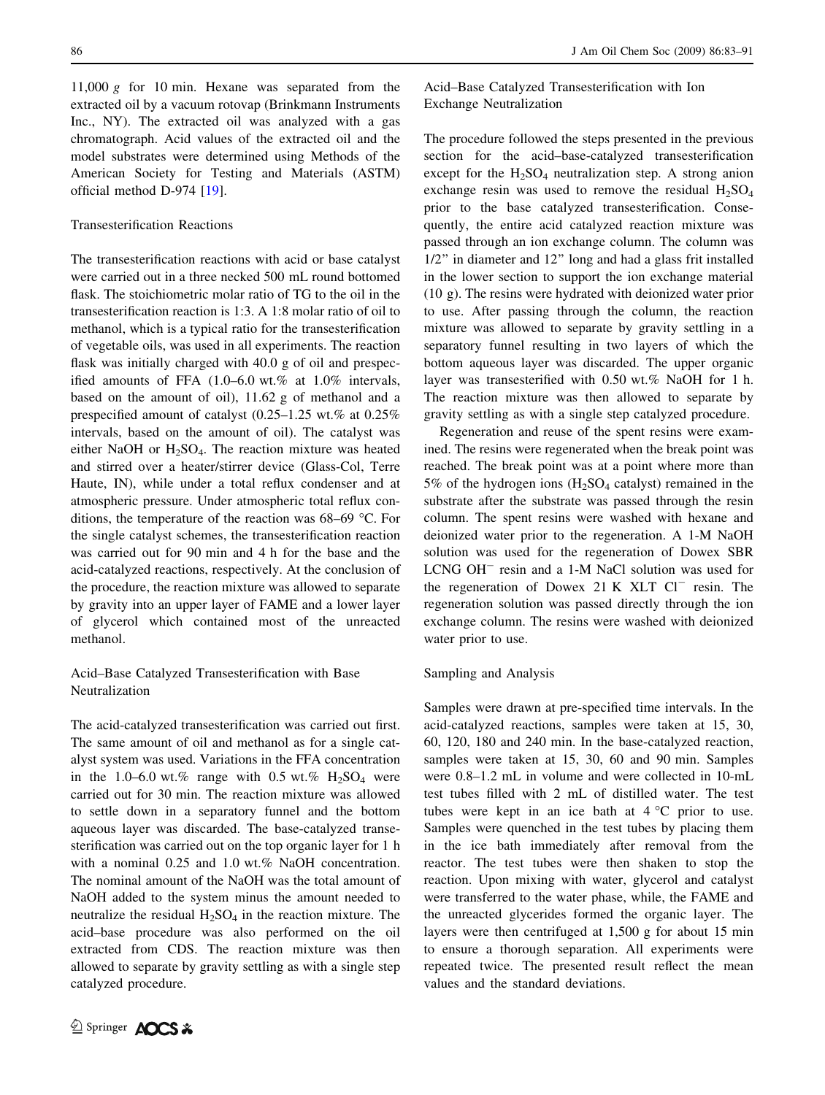11,000 g for 10 min. Hexane was separated from the extracted oil by a vacuum rotovap (Brinkmann Instruments Inc., NY). The extracted oil was analyzed with a gas chromatograph. Acid values of the extracted oil and the model substrates were determined using Methods of the American Society for Testing and Materials (ASTM) official method D-974 [\[19](#page-8-0)].

## Transesterification Reactions

The transesterification reactions with acid or base catalyst were carried out in a three necked 500 mL round bottomed flask. The stoichiometric molar ratio of TG to the oil in the transesterification reaction is 1:3. A 1:8 molar ratio of oil to methanol, which is a typical ratio for the transesterification of vegetable oils, was used in all experiments. The reaction flask was initially charged with 40.0 g of oil and prespecified amounts of FFA (1.0–6.0 wt.% at 1.0% intervals, based on the amount of oil), 11.62 g of methanol and a prespecified amount of catalyst (0.25–1.25 wt.% at 0.25% intervals, based on the amount of oil). The catalyst was either NaOH or  $H_2SO_4$ . The reaction mixture was heated and stirred over a heater/stirrer device (Glass-Col, Terre Haute, IN), while under a total reflux condenser and at atmospheric pressure. Under atmospheric total reflux conditions, the temperature of the reaction was  $68-69$  °C. For the single catalyst schemes, the transesterification reaction was carried out for 90 min and 4 h for the base and the acid-catalyzed reactions, respectively. At the conclusion of the procedure, the reaction mixture was allowed to separate by gravity into an upper layer of FAME and a lower layer of glycerol which contained most of the unreacted methanol.

# Acid–Base Catalyzed Transesterification with Base Neutralization

The acid-catalyzed transesterification was carried out first. The same amount of oil and methanol as for a single catalyst system was used. Variations in the FFA concentration in the 1.0–6.0 wt.% range with 0.5 wt.%  $H_2SO_4$  were carried out for 30 min. The reaction mixture was allowed to settle down in a separatory funnel and the bottom aqueous layer was discarded. The base-catalyzed transesterification was carried out on the top organic layer for 1 h with a nominal 0.25 and 1.0 wt.% NaOH concentration. The nominal amount of the NaOH was the total amount of NaOH added to the system minus the amount needed to neutralize the residual  $H_2SO_4$  in the reaction mixture. The acid–base procedure was also performed on the oil extracted from CDS. The reaction mixture was then allowed to separate by gravity settling as with a single step catalyzed procedure.

Acid–Base Catalyzed Transesterification with Ion Exchange Neutralization

The procedure followed the steps presented in the previous section for the acid–base-catalyzed transesterification except for the  $H_2SO_4$  neutralization step. A strong anion exchange resin was used to remove the residual  $H_2SO_4$ prior to the base catalyzed transesterification. Consequently, the entire acid catalyzed reaction mixture was passed through an ion exchange column. The column was 1/2'' in diameter and 12'' long and had a glass frit installed in the lower section to support the ion exchange material (10 g). The resins were hydrated with deionized water prior to use. After passing through the column, the reaction mixture was allowed to separate by gravity settling in a separatory funnel resulting in two layers of which the bottom aqueous layer was discarded. The upper organic layer was transesterified with 0.50 wt.% NaOH for 1 h. The reaction mixture was then allowed to separate by gravity settling as with a single step catalyzed procedure.

Regeneration and reuse of the spent resins were examined. The resins were regenerated when the break point was reached. The break point was at a point where more than 5% of the hydrogen ions  $(H_2SO_4 \text{ catalyst})$  remained in the substrate after the substrate was passed through the resin column. The spent resins were washed with hexane and deionized water prior to the regeneration. A 1-M NaOH solution was used for the regeneration of Dowex SBR  $LCNGOH^-$  resin and a 1-M NaCl solution was used for the regeneration of Dowex 21 K  $XLT$   $Cl^-$  resin. The regeneration solution was passed directly through the ion exchange column. The resins were washed with deionized water prior to use.

#### Sampling and Analysis

Samples were drawn at pre-specified time intervals. In the acid-catalyzed reactions, samples were taken at 15, 30, 60, 120, 180 and 240 min. In the base-catalyzed reaction, samples were taken at 15, 30, 60 and 90 min. Samples were 0.8–1.2 mL in volume and were collected in 10-mL test tubes filled with 2 mL of distilled water. The test tubes were kept in an ice bath at  $4^{\circ}$ C prior to use. Samples were quenched in the test tubes by placing them in the ice bath immediately after removal from the reactor. The test tubes were then shaken to stop the reaction. Upon mixing with water, glycerol and catalyst were transferred to the water phase, while, the FAME and the unreacted glycerides formed the organic layer. The layers were then centrifuged at 1,500 g for about 15 min to ensure a thorough separation. All experiments were repeated twice. The presented result reflect the mean values and the standard deviations.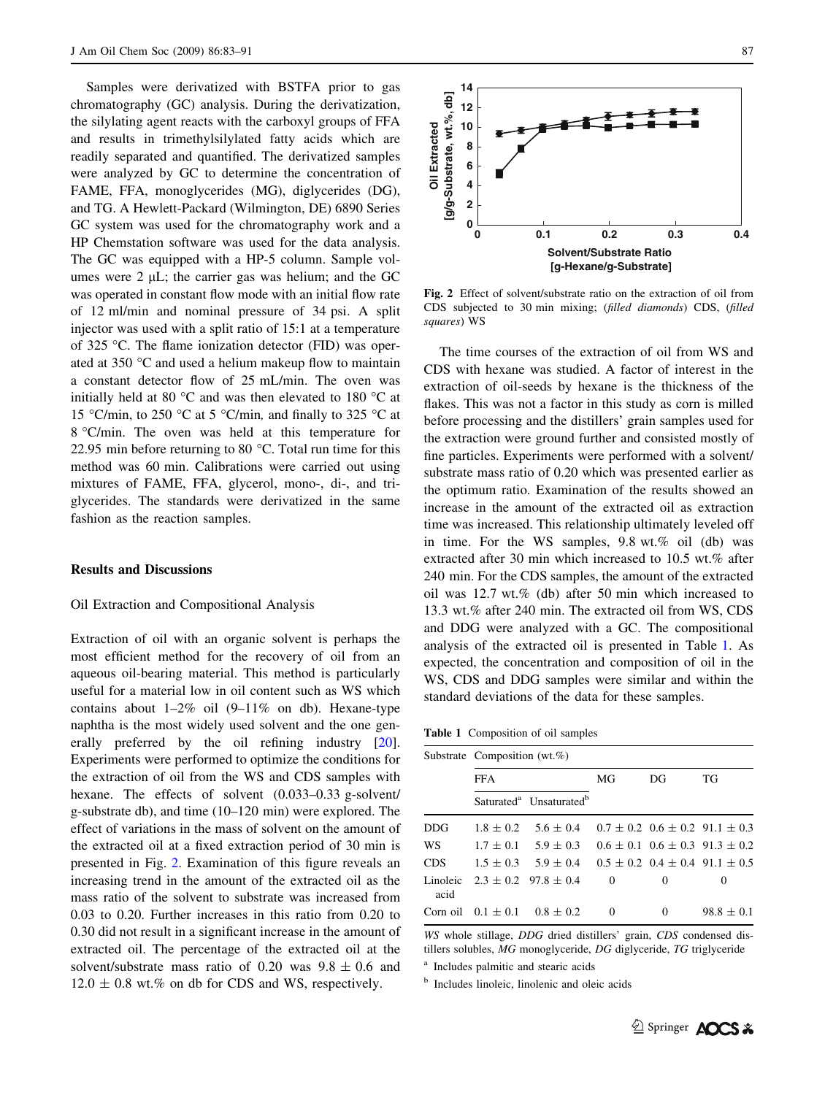Samples were derivatized with BSTFA prior to gas chromatography (GC) analysis. During the derivatization, the silylating agent reacts with the carboxyl groups of FFA and results in trimethylsilylated fatty acids which are readily separated and quantified. The derivatized samples were analyzed by GC to determine the concentration of FAME, FFA, monoglycerides (MG), diglycerides (DG), and TG. A Hewlett-Packard (Wilmington, DE) 6890 Series GC system was used for the chromatography work and a HP Chemstation software was used for the data analysis. The GC was equipped with a HP-5 column. Sample volumes were 2  $\mu$ L; the carrier gas was helium; and the GC was operated in constant flow mode with an initial flow rate of 12 ml/min and nominal pressure of 34 psi. A split injector was used with a split ratio of 15:1 at a temperature of 325 °C. The flame ionization detector (FID) was operated at  $350$  °C and used a helium makeup flow to maintain a constant detector flow of 25 mL/min. The oven was initially held at 80  $\degree$ C and was then elevated to 180  $\degree$ C at 15 °C/min, to 250 °C at 5 °C/min, and finally to 325 °C at 8 °C/min. The oven was held at this temperature for 22.95 min before returning to 80  $^{\circ}$ C. Total run time for this method was 60 min. Calibrations were carried out using mixtures of FAME, FFA, glycerol, mono-, di-, and triglycerides. The standards were derivatized in the same fashion as the reaction samples.

### Results and Discussions

#### Oil Extraction and Compositional Analysis

Extraction of oil with an organic solvent is perhaps the most efficient method for the recovery of oil from an aqueous oil-bearing material. This method is particularly useful for a material low in oil content such as WS which contains about  $1-2\%$  oil  $(9-11\%$  on db). Hexane-type naphtha is the most widely used solvent and the one generally preferred by the oil refining industry [\[20](#page-8-0)]. Experiments were performed to optimize the conditions for the extraction of oil from the WS and CDS samples with hexane. The effects of solvent (0.033–0.33 g-solvent/ g-substrate db), and time (10–120 min) were explored. The effect of variations in the mass of solvent on the amount of the extracted oil at a fixed extraction period of 30 min is presented in Fig. 2. Examination of this figure reveals an increasing trend in the amount of the extracted oil as the mass ratio of the solvent to substrate was increased from 0.03 to 0.20. Further increases in this ratio from 0.20 to 0.30 did not result in a significant increase in the amount of extracted oil. The percentage of the extracted oil at the solvent/substrate mass ratio of 0.20 was  $9.8 \pm 0.6$  and  $12.0 \pm 0.8$  wt.% on db for CDS and WS, respectively.



Fig. 2 Effect of solvent/substrate ratio on the extraction of oil from CDS subjected to 30 min mixing; (filled diamonds) CDS, (filled squares) WS

The time courses of the extraction of oil from WS and CDS with hexane was studied. A factor of interest in the extraction of oil-seeds by hexane is the thickness of the flakes. This was not a factor in this study as corn is milled before processing and the distillers' grain samples used for the extraction were ground further and consisted mostly of fine particles. Experiments were performed with a solvent/ substrate mass ratio of 0.20 which was presented earlier as the optimum ratio. Examination of the results showed an increase in the amount of the extracted oil as extraction time was increased. This relationship ultimately leveled off in time. For the WS samples, 9.8 wt.% oil (db) was extracted after 30 min which increased to 10.5 wt.% after 240 min. For the CDS samples, the amount of the extracted oil was 12.7 wt.% (db) after 50 min which increased to 13.3 wt.% after 240 min. The extracted oil from WS, CDS and DDG were analyzed with a GC. The compositional analysis of the extracted oil is presented in Table 1. As expected, the concentration and composition of oil in the WS, CDS and DDG samples were similar and within the standard deviations of the data for these samples.

Table 1 Composition of oil samples

|            | Substrate Composition (wt.%) |                                                 |          |          |                                            |  |  |
|------------|------------------------------|-------------------------------------------------|----------|----------|--------------------------------------------|--|--|
|            | <b>FFA</b>                   |                                                 | MG       | DG       | TG                                         |  |  |
|            |                              | Saturated <sup>a</sup> Unsaturated <sup>b</sup> |          |          |                                            |  |  |
| <b>DDG</b> |                              | $1.8 \pm 0.2$ 5.6 $\pm$ 0.4                     |          |          | $0.7 \pm 0.2$ $0.6 \pm 0.2$ 91.1 $\pm 0.3$ |  |  |
| WS         |                              | $1.7 \pm 0.1$ 5.9 $\pm$ 0.3                     |          |          | $0.6 \pm 0.1$ $0.6 \pm 0.3$ $91.3 \pm 0.2$ |  |  |
| <b>CDS</b> |                              | $1.5 \pm 0.3$ $5.9 \pm 0.4$                     |          |          | $0.5 \pm 0.2$ $0.4 \pm 0.4$ 91.1 $\pm 0.5$ |  |  |
| acid       |                              | Linoleic $2.3 \pm 0.2$ 97.8 $\pm 0.4$           | $\Omega$ | $\Omega$ | $\theta$                                   |  |  |
|            |                              | Corn oil $0.1 \pm 0.1$ $0.8 \pm 0.2$            | $\Omega$ | $\Omega$ | $98.8 \pm 0.1$                             |  |  |

WS whole stillage, DDG dried distillers' grain, CDS condensed distillers solubles, MG monoglyceride, DG diglyceride, TG triglyceride

<sup>a</sup> Includes palmitic and stearic acids

<sup>b</sup> Includes linoleic, linolenic and oleic acids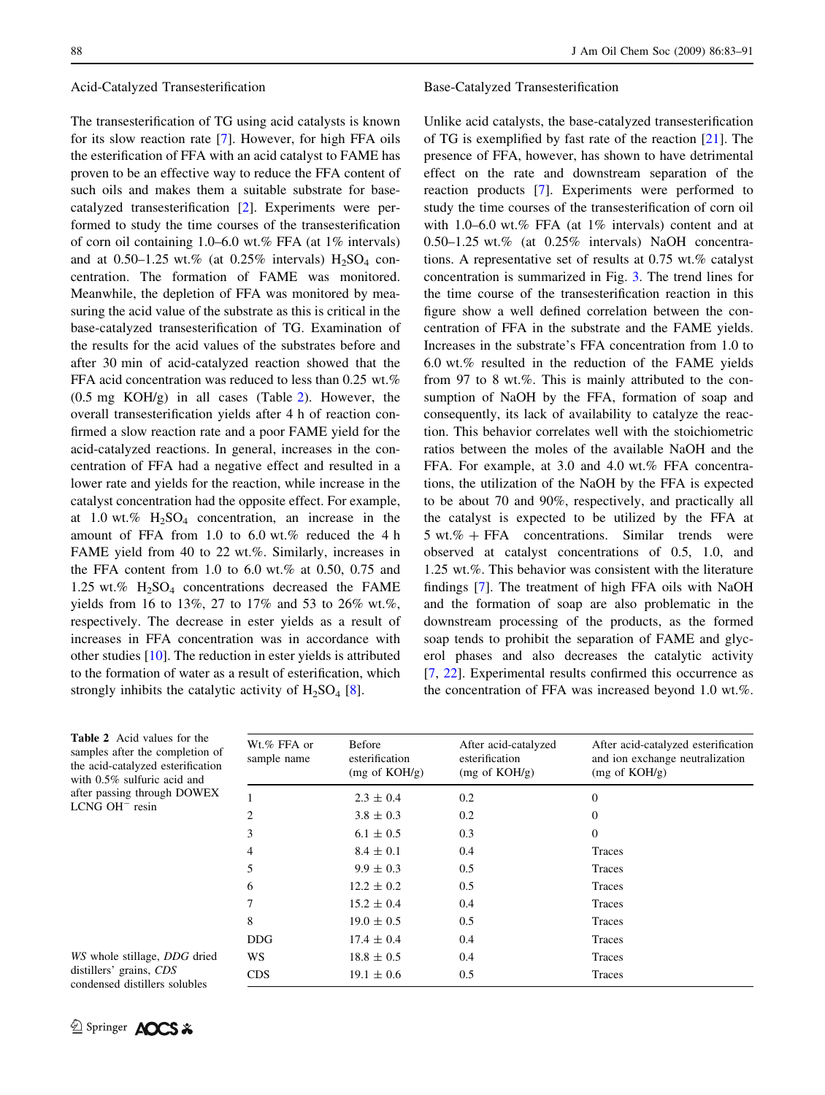#### <span id="page-5-0"></span>Acid-Catalyzed Transesterification

The transesterification of TG using acid catalysts is known for its slow reaction rate [\[7](#page-8-0)]. However, for high FFA oils the esterification of FFA with an acid catalyst to FAME has proven to be an effective way to reduce the FFA content of such oils and makes them a suitable substrate for basecatalyzed transesterification [[2\]](#page-7-0). Experiments were performed to study the time courses of the transesterification of corn oil containing 1.0–6.0 wt.% FFA (at 1% intervals) and at 0.50–1.25 wt.% (at 0.25% intervals)  $H_2SO_4$  concentration. The formation of FAME was monitored. Meanwhile, the depletion of FFA was monitored by measuring the acid value of the substrate as this is critical in the base-catalyzed transesterification of TG. Examination of the results for the acid values of the substrates before and after 30 min of acid-catalyzed reaction showed that the FFA acid concentration was reduced to less than 0.25 wt.% (0.5 mg KOH/g) in all cases (Table 2). However, the overall transesterification yields after 4 h of reaction confirmed a slow reaction rate and a poor FAME yield for the acid-catalyzed reactions. In general, increases in the concentration of FFA had a negative effect and resulted in a lower rate and yields for the reaction, while increase in the catalyst concentration had the opposite effect. For example, at 1.0 wt.%  $H_2SO_4$  concentration, an increase in the amount of FFA from 1.0 to 6.0 wt.% reduced the 4 h FAME yield from 40 to 22 wt.%. Similarly, increases in the FFA content from 1.0 to 6.0 wt.% at 0.50, 0.75 and 1.25 wt.%  $H_2SO_4$  concentrations decreased the FAME yields from 16 to 13%, 27 to 17% and 53 to 26% wt.%, respectively. The decrease in ester yields as a result of increases in FFA concentration was in accordance with other studies [\[10](#page-8-0)]. The reduction in ester yields is attributed to the formation of water as a result of esterification, which strongly inhibits the catalytic activity of  $H_2SO_4$  [[8\]](#page-8-0).

#### Base-Catalyzed Transesterification

Unlike acid catalysts, the base-catalyzed transesterification of TG is exemplified by fast rate of the reaction [[21\]](#page-8-0). The presence of FFA, however, has shown to have detrimental effect on the rate and downstream separation of the reaction products [[7\]](#page-8-0). Experiments were performed to study the time courses of the transesterification of corn oil with 1.0–6.0 wt.% FFA (at 1% intervals) content and at 0.50–1.25 wt.% (at 0.25% intervals) NaOH concentrations. A representative set of results at 0.75 wt.% catalyst concentration is summarized in Fig. [3.](#page-6-0) The trend lines for the time course of the transesterification reaction in this figure show a well defined correlation between the concentration of FFA in the substrate and the FAME yields. Increases in the substrate's FFA concentration from 1.0 to 6.0 wt.% resulted in the reduction of the FAME yields from 97 to 8 wt.%. This is mainly attributed to the consumption of NaOH by the FFA, formation of soap and consequently, its lack of availability to catalyze the reaction. This behavior correlates well with the stoichiometric ratios between the moles of the available NaOH and the FFA. For example, at 3.0 and 4.0 wt.% FFA concentrations, the utilization of the NaOH by the FFA is expected to be about 70 and 90%, respectively, and practically all the catalyst is expected to be utilized by the FFA at  $5 wt. % + FFA$  concentrations. Similar trends were observed at catalyst concentrations of 0.5, 1.0, and 1.25 wt.%. This behavior was consistent with the literature findings [[7\]](#page-8-0). The treatment of high FFA oils with NaOH and the formation of soap are also problematic in the downstream processing of the products, as the formed soap tends to prohibit the separation of FAME and glycerol phases and also decreases the catalytic activity [\[7](#page-8-0), [22](#page-8-0)]. Experimental results confirmed this occurrence as the concentration of FFA was increased beyond 1.0 wt.%.

| <b>Table 2</b> Acid values for the<br>samples after the completion of<br>the acid-catalyzed esterification<br>with $0.5\%$ sulfuric acid and | Wt.% FFA or<br>sample name | Before<br>esterification<br>$(mg \text{ of KOH/g})$ | After acid-catalyzed<br>esterification<br>$(mg \text{ of KOH/g})$ | After acid-catalyzed esterification<br>and ion exchange neutralization<br>$(mg \text{ of KOH/g})$ |
|----------------------------------------------------------------------------------------------------------------------------------------------|----------------------------|-----------------------------------------------------|-------------------------------------------------------------------|---------------------------------------------------------------------------------------------------|
| after passing through DOWEX                                                                                                                  |                            | $2.3 \pm 0.4$                                       | 0.2                                                               | $\Omega$                                                                                          |
| $LCNG$ OH $^-$ resin                                                                                                                         |                            | $3.8 \pm 0.3$                                       | 0.2                                                               | 0                                                                                                 |
|                                                                                                                                              | 3                          | $6.1 \pm 0.5$                                       | 0.3                                                               | $\Omega$                                                                                          |
|                                                                                                                                              | 4                          | $8.4 \pm 0.1$                                       | 0.4                                                               | Traces                                                                                            |
|                                                                                                                                              | 5                          | $9.9 \pm 0.3$                                       | 0.5                                                               | Traces                                                                                            |
|                                                                                                                                              | 6                          | $12.2 \pm 0.2$                                      | 0.5                                                               | Traces                                                                                            |
|                                                                                                                                              |                            | $15.2 \pm 0.4$                                      | 0.4                                                               | Traces                                                                                            |
|                                                                                                                                              | 8                          | $19.0 \pm 0.5$                                      | 0.5                                                               | Traces                                                                                            |
|                                                                                                                                              | <b>DDG</b>                 | $17.4 \pm 0.4$                                      | 0.4                                                               | Traces                                                                                            |
| WS whole stillage, <i>DDG</i> dried                                                                                                          | WS.                        | $18.8 \pm 0.5$                                      | 0.4                                                               | Traces                                                                                            |
| distillers' grains, CDS                                                                                                                      | <b>CDS</b>                 | $19.1 \pm 0.6$                                      | 0.5                                                               | Traces                                                                                            |

WS whole stillage, distillers' grains,  $CI$ condensed distillers solubles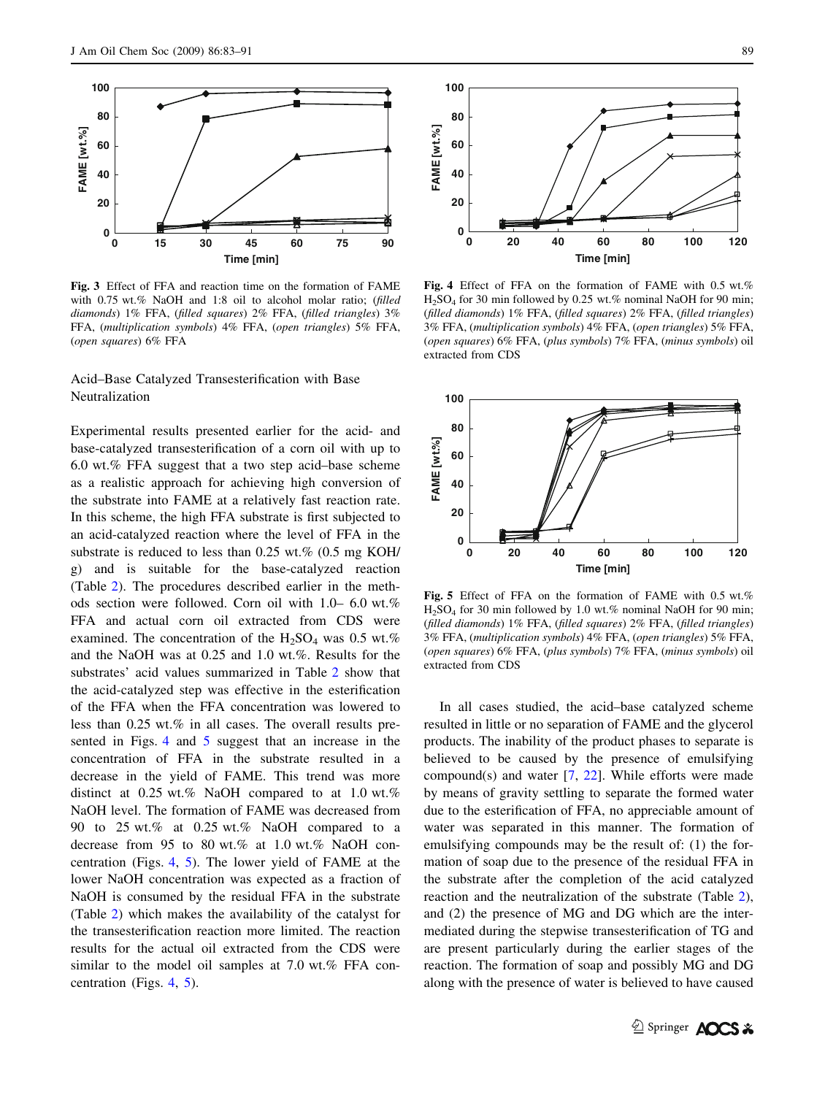<span id="page-6-0"></span>

Fig. 3 Effect of FFA and reaction time on the formation of FAME with 0.75 wt.% NaOH and 1:8 oil to alcohol molar ratio; (filled diamonds) 1% FFA, (filled squares) 2% FFA, (filled triangles) 3% FFA, (multiplication symbols) 4% FFA, (open triangles) 5% FFA, (open squares) 6% FFA

# Acid–Base Catalyzed Transesterification with Base Neutralization

Experimental results presented earlier for the acid- and base-catalyzed transesterification of a corn oil with up to 6.0 wt.% FFA suggest that a two step acid–base scheme as a realistic approach for achieving high conversion of the substrate into FAME at a relatively fast reaction rate. In this scheme, the high FFA substrate is first subjected to an acid-catalyzed reaction where the level of FFA in the substrate is reduced to less than 0.25 wt.% (0.5 mg KOH/ g) and is suitable for the base-catalyzed reaction (Table [2](#page-5-0)). The procedures described earlier in the methods section were followed. Corn oil with 1.0– 6.0 wt.% FFA and actual corn oil extracted from CDS were examined. The concentration of the  $H_2SO_4$  was 0.5 wt.% and the NaOH was at 0.25 and 1.0 wt.%. Results for the substrates' acid values summarized in Table [2](#page-5-0) show that the acid-catalyzed step was effective in the esterification of the FFA when the FFA concentration was lowered to less than 0.25 wt.% in all cases. The overall results presented in Figs. 4 and 5 suggest that an increase in the concentration of FFA in the substrate resulted in a decrease in the yield of FAME. This trend was more distinct at 0.25 wt.% NaOH compared to at 1.0 wt.% NaOH level. The formation of FAME was decreased from 90 to 25 wt.% at 0.25 wt.% NaOH compared to a decrease from 95 to 80 wt.% at 1.0 wt.% NaOH concentration (Figs. 4, 5). The lower yield of FAME at the lower NaOH concentration was expected as a fraction of NaOH is consumed by the residual FFA in the substrate (Table [2](#page-5-0)) which makes the availability of the catalyst for the transesterification reaction more limited. The reaction results for the actual oil extracted from the CDS were similar to the model oil samples at 7.0 wt.% FFA concentration (Figs. 4, 5).



Fig. 4 Effect of FFA on the formation of FAME with 0.5 wt.%  $H<sub>2</sub>SO<sub>4</sub>$  for 30 min followed by 0.25 wt.% nominal NaOH for 90 min; (filled diamonds) 1% FFA, (filled squares) 2% FFA, (filled triangles) 3% FFA, (multiplication symbols) 4% FFA, (open triangles) 5% FFA, (open squares) 6% FFA, (plus symbols) 7% FFA, (minus symbols) oil extracted from CDS



Fig. 5 Effect of FFA on the formation of FAME with 0.5 wt.%  $H<sub>2</sub>SO<sub>4</sub>$  for 30 min followed by 1.0 wt.% nominal NaOH for 90 min; (filled diamonds) 1% FFA, (filled squares) 2% FFA, (filled triangles) 3% FFA, (multiplication symbols) 4% FFA, (open triangles) 5% FFA, (open squares) 6% FFA, (plus symbols) 7% FFA, (minus symbols) oil extracted from CDS

In all cases studied, the acid–base catalyzed scheme resulted in little or no separation of FAME and the glycerol products. The inability of the product phases to separate is believed to be caused by the presence of emulsifying compound(s) and water [\[7](#page-8-0), [22](#page-8-0)]. While efforts were made by means of gravity settling to separate the formed water due to the esterification of FFA, no appreciable amount of water was separated in this manner. The formation of emulsifying compounds may be the result of: (1) the formation of soap due to the presence of the residual FFA in the substrate after the completion of the acid catalyzed reaction and the neutralization of the substrate (Table [2](#page-5-0)), and (2) the presence of MG and DG which are the intermediated during the stepwise transesterification of TG and are present particularly during the earlier stages of the reaction. The formation of soap and possibly MG and DG along with the presence of water is believed to have caused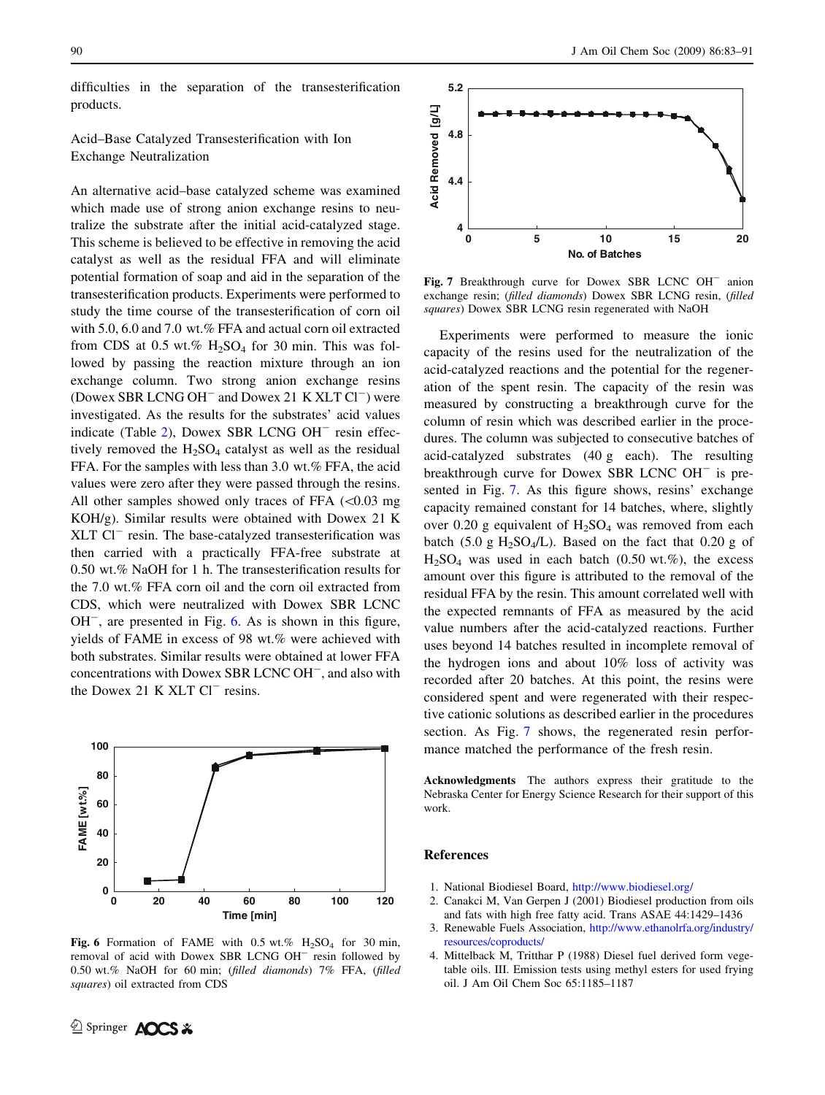<span id="page-7-0"></span>difficulties in the separation of the transesterification products.

# Acid–Base Catalyzed Transesterification with Ion Exchange Neutralization

An alternative acid–base catalyzed scheme was examined which made use of strong anion exchange resins to neutralize the substrate after the initial acid-catalyzed stage. This scheme is believed to be effective in removing the acid catalyst as well as the residual FFA and will eliminate potential formation of soap and aid in the separation of the transesterification products. Experiments were performed to study the time course of the transesterification of corn oil with 5.0, 6.0 and 7.0 wt.% FFA and actual corn oil extracted from CDS at 0.5 wt.%  $H_2SO_4$  for 30 min. This was followed by passing the reaction mixture through an ion exchange column. Two strong anion exchange resins (Dowex SBR LCNG  $OH^-$  and Dowex 21 K XLT  $Cl^-$ ) were investigated. As the results for the substrates' acid values indicate (Table [2](#page-5-0)), Dowex SBR LCNG  $OH^-$  resin effectively removed the  $H_2SO_4$  catalyst as well as the residual FFA. For the samples with less than 3.0 wt.% FFA, the acid values were zero after they were passed through the resins. All other samples showed only traces of FFA  $(<0.03$  mg KOH/g). Similar results were obtained with Dowex 21 K XLT Cl<sup>-</sup> resin. The base-catalyzed transesterification was then carried with a practically FFA-free substrate at 0.50 wt.% NaOH for 1 h. The transesterification results for the 7.0 wt.% FFA corn oil and the corn oil extracted from CDS, which were neutralized with Dowex SBR LCNC  $OH^-$ , are presented in Fig. 6. As is shown in this figure, yields of FAME in excess of 98 wt.% were achieved with both substrates. Similar results were obtained at lower FFA concentrations with Dowex SBR LCNC OH<sup>-</sup>, and also with the Dowex 21 K  $XLT$  Cl<sup>-</sup> resins.



Fig. 6 Formation of FAME with  $0.5$  wt.%  $H<sub>2</sub>SO<sub>4</sub>$  for 30 min, removal of acid with Dowex SBR LCNG OH<sup>-</sup> resin followed by 0.50 wt.% NaOH for 60 min; (filled diamonds) 7% FFA, (filled squares) oil extracted from CDS



Fig. 7 Breakthrough curve for Dowex SBR LCNC OH<sup>-</sup> anion exchange resin; (filled diamonds) Dowex SBR LCNG resin, (filled squares) Dowex SBR LCNG resin regenerated with NaOH

Experiments were performed to measure the ionic capacity of the resins used for the neutralization of the acid-catalyzed reactions and the potential for the regeneration of the spent resin. The capacity of the resin was measured by constructing a breakthrough curve for the column of resin which was described earlier in the procedures. The column was subjected to consecutive batches of acid-catalyzed substrates (40 g each). The resulting breakthrough curve for Dowex SBR LCNC  $OH^-$  is presented in Fig. 7. As this figure shows, resins' exchange capacity remained constant for 14 batches, where, slightly over 0.20 g equivalent of  $H_2SO_4$  was removed from each batch (5.0 g  $H_2SO_4/L$ ). Based on the fact that 0.20 g of  $H<sub>2</sub>SO<sub>4</sub>$  was used in each batch (0.50 wt.%), the excess amount over this figure is attributed to the removal of the residual FFA by the resin. This amount correlated well with the expected remnants of FFA as measured by the acid value numbers after the acid-catalyzed reactions. Further uses beyond 14 batches resulted in incomplete removal of the hydrogen ions and about 10% loss of activity was recorded after 20 batches. At this point, the resins were considered spent and were regenerated with their respective cationic solutions as described earlier in the procedures section. As Fig. 7 shows, the regenerated resin performance matched the performance of the fresh resin.

Acknowledgments The authors express their gratitude to the Nebraska Center for Energy Science Research for their support of this work.

## References

- 1. National Biodiesel Board, <http://www.biodiesel.org/>
- 2. Canakci M, Van Gerpen J (2001) Biodiesel production from oils and fats with high free fatty acid. Trans ASAE 44:1429–1436
- 3. Renewable Fuels Association, [http://www.ethanolrfa.org/industry/](http://www.ethanolrfa.org/industry/resources/coproducts/) [resources/coproducts/](http://www.ethanolrfa.org/industry/resources/coproducts/)
- 4. Mittelback M, Tritthar P (1988) Diesel fuel derived form vegetable oils. III. Emission tests using methyl esters for used frying oil. J Am Oil Chem Soc 65:1185–1187